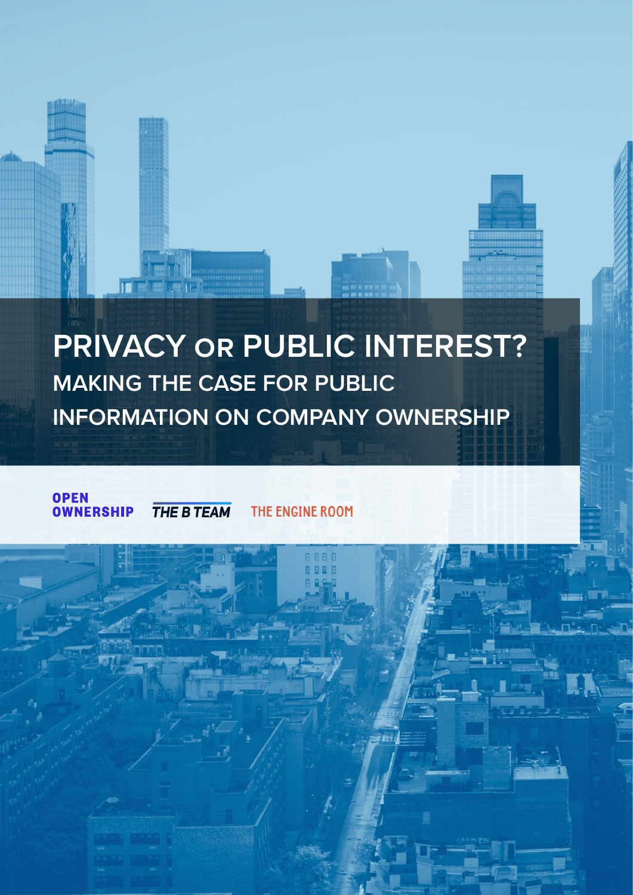# **PRIVACY or PUBLIC INTEREST? MAKING THE CASE FOR PUBLIC INFORMATION ON COMPANY OWNERSHIP**

**OPEN** THE B TEAM THE ENGINE ROOM **OWNERSHIP** 

 $\blacksquare$ 

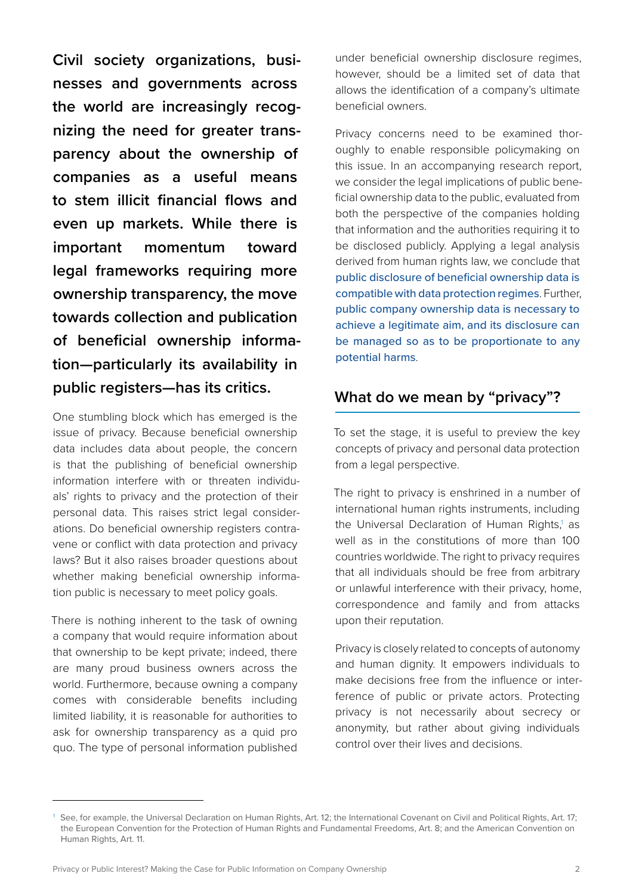**Civil society organizations, businesses and governments across the world are increasingly recognizing the need for greater transparency about the ownership of companies as a useful means to stem illicit financial flows and even up markets. While there is important momentum toward legal frameworks requiring more ownership transparency, the move towards collection and publication of beneficial ownership information—particularly its availability in public registers—has its critics.**

One stumbling block which has emerged is the issue of privacy. Because beneficial ownership data includes data about people, the concern is that the publishing of beneficial ownership information interfere with or threaten individuals' rights to privacy and the protection of their personal data. This raises strict legal considerations. Do beneficial ownership registers contravene or conflict with data protection and privacy laws? But it also raises broader questions about whether making beneficial ownership information public is necessary to meet policy goals.

There is nothing inherent to the task of owning a company that would require information about that ownership to be kept private; indeed, there are many proud business owners across the world. Furthermore, because owning a company comes with considerable benefits including limited liability, it is reasonable for authorities to ask for ownership transparency as a quid pro quo. The type of personal information published

under beneficial ownership disclosure regimes, however, should be a limited set of data that allows the identification of a company's ultimate beneficial owners.

Privacy concerns need to be examined thoroughly to enable responsible policymaking on this issue. In an accompanying research report, we consider the legal implications of public beneficial ownership data to the public, evaluated from both the perspective of the companies holding that information and the authorities requiring it to be disclosed publicly. Applying a legal analysis derived from human rights law, we conclude that public disclosure of beneficial ownership data is compatible with data protection regimes. Further, public company ownership data is necessary to achieve a legitimate aim, and its disclosure can be managed so as to be proportionate to any potential harms.

## **What do we mean by "privacy"?**

To set the stage, it is useful to preview the key concepts of privacy and personal data protection from a legal perspective.

The right to privacy is enshrined in a number of international human rights instruments, including the Universal Declaration of Human Rights,<sup>1</sup> as well as in the constitutions of more than 100 countries worldwide. The right to privacy requires that all individuals should be free from arbitrary or unlawful interference with their privacy, home, correspondence and family and from attacks upon their reputation.

Privacy is closely related to concepts of autonomy and human dignity. It empowers individuals to make decisions free from the influence or interference of public or private actors. Protecting privacy is not necessarily about secrecy or anonymity, but rather about giving individuals control over their lives and decisions.

<sup>&</sup>lt;sup>1</sup> See, for example, the Universal Declaration on Human Rights, Art. 12; the International Covenant on Civil and Political Rights, Art. 17; the European Convention for the Protection of Human Rights and Fundamental Freedoms, Art. 8; and the American Convention on Human Rights, Art. 11.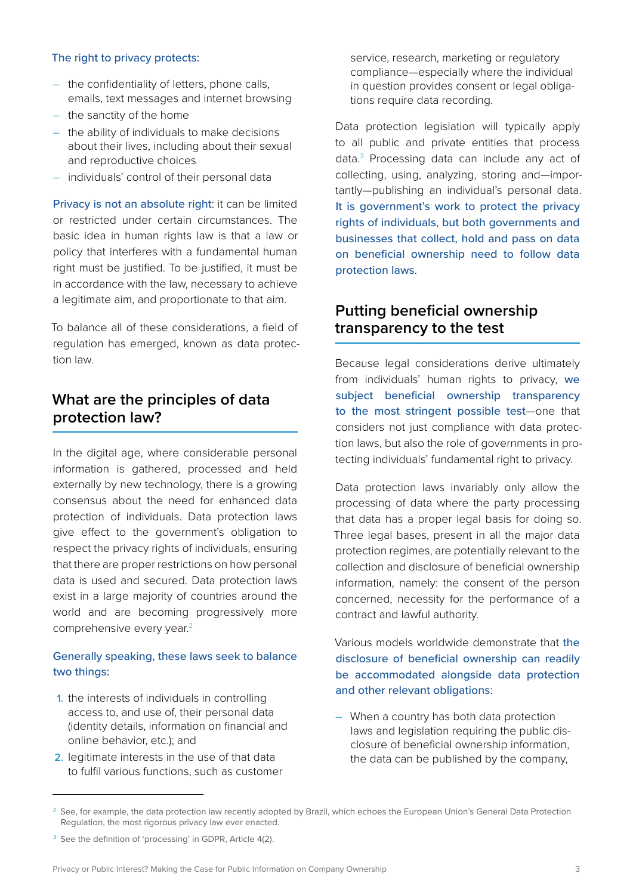#### The right to privacy protects:

- the confidentiality of letters, phone calls, emails, text messages and internet browsing
- the sanctity of the home
- the ability of individuals to make decisions about their lives, including about their sexual and reproductive choices
- individuals' control of their personal data

Privacy is not an absolute right: it can be limited or restricted under certain circumstances. The basic idea in human rights law is that a law or policy that interferes with a fundamental human right must be justified. To be justified, it must be in accordance with the law, necessary to achieve a legitimate aim, and proportionate to that aim.

To balance all of these considerations, a field of regulation has emerged, known as data protection law.

## **What are the principles of data protection law?**

In the digital age, where considerable personal information is gathered, processed and held externally by new technology, there is a growing consensus about the need for enhanced data protection of individuals. Data protection laws give effect to the government's obligation to respect the privacy rights of individuals, ensuring that there are proper restrictions on how personal data is used and secured. Data protection laws exist in a large majority of countries around the world and are becoming progressively more comprehensive every year.<sup>2</sup>

### Generally speaking, these laws seek to balance two things:

- 1. the interests of individuals in controlling access to, and use of, their personal data (identity details, information on financial and online behavior, etc.); and
- 2. legitimate interests in the use of that data to fulfil various functions, such as customer

service, research, marketing or regulatory compliance—especially where the individual in question provides consent or legal obligations require data recording.

Data protection legislation will typically apply to all public and private entities that process data.3 Processing data can include any act of collecting, using, analyzing, storing and—importantly—publishing an individual's personal data. It is government's work to protect the privacy rights of individuals, but both governments and businesses that collect, hold and pass on data on beneficial ownership need to follow data protection laws.

## **Putting beneficial ownership transparency to the test**

Because legal considerations derive ultimately from individuals' human rights to privacy, we subject beneficial ownership transparency to the most stringent possible test—one that considers not just compliance with data protection laws, but also the role of governments in protecting individuals' fundamental right to privacy.

Data protection laws invariably only allow the processing of data where the party processing that data has a proper legal basis for doing so. Three legal bases, present in all the major data protection regimes, are potentially relevant to the collection and disclosure of beneficial ownership information, namely: the consent of the person concerned, necessity for the performance of a contract and lawful authority.

Various models worldwide demonstrate that the disclosure of beneficial ownership can readily be accommodated alongside data protection and other relevant obligations:

– When a country has both data protection laws and legislation requiring the public disclosure of beneficial ownership information, the data can be published by the company,

<sup>&</sup>lt;sup>2</sup> See, for example, the data protection law recently adopted by Brazil, which echoes the European Union's General Data Protection Regulation, the most rigorous privacy law ever enacted.

<sup>&</sup>lt;sup>3</sup> See the definition of 'processing' in GDPR, Article 4(2).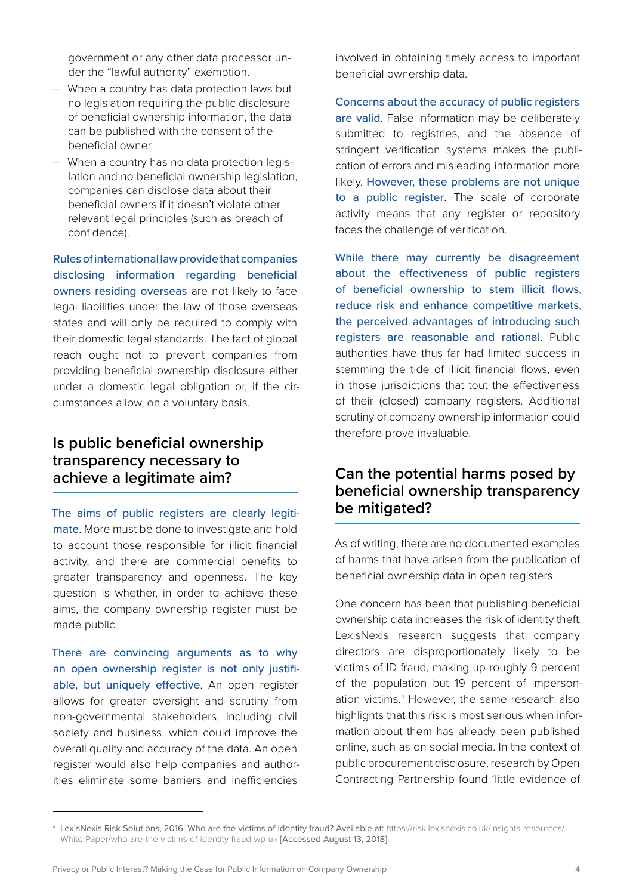government or any other data processor under the "lawful authority" exemption.

- When a country has data protection laws but no legislation requiring the public disclosure of beneficial ownership information, the data can be published with the consent of the beneficial owner.
- When a country has no data protection legislation and no beneficial ownership legislation, companies can disclose data about their beneficial owners if it doesn't violate other relevant legal principles (such as breach of confidence).

Rules of international law provide that companies disclosing information regarding beneficial owners residing overseas are not likely to face legal liabilities under the law of those overseas states and will only be required to comply with their domestic legal standards. The fact of global reach ought not to prevent companies from providing beneficial ownership disclosure either under a domestic legal obligation or, if the circumstances allow, on a voluntary basis.

## **Is public beneficial ownership transparency necessary to achieve a legitimate aim?**

The aims of public registers are clearly legitimate. More must be done to investigate and hold to account those responsible for illicit financial activity, and there are commercial benefits to greater transparency and openness. The key question is whether, in order to achieve these aims, the company ownership register must be made public.

There are convincing arguments as to why an open ownership register is not only justifiable, but uniquely effective. An open register allows for greater oversight and scrutiny from non-governmental stakeholders, including civil society and business, which could improve the overall quality and accuracy of the data. An open register would also help companies and authorities eliminate some barriers and inefficiencies

involved in obtaining timely access to important beneficial ownership data.

Concerns about the accuracy of public registers are valid. False information may be deliberately submitted to registries, and the absence of stringent verification systems makes the publication of errors and misleading information more likely. However, these problems are not unique to a public register. The scale of corporate activity means that any register or repository faces the challenge of verification.

While there may currently be disagreement about the effectiveness of public registers of beneficial ownership to stem illicit flows, reduce risk and enhance competitive markets, the perceived advantages of introducing such registers are reasonable and rational. Public authorities have thus far had limited success in stemming the tide of illicit financial flows, even in those jurisdictions that tout the effectiveness of their (closed) company registers. Additional scrutiny of company ownership information could therefore prove invaluable.

## **Can the potential harms posed by beneficial ownership transparency be mitigated?**

As of writing, there are no documented examples of harms that have arisen from the publication of beneficial ownership data in open registers.

One concern has been that publishing beneficial ownership data increases the risk of identity theft. LexisNexis research suggests that company directors are disproportionately likely to be victims of ID fraud, making up roughly 9 percent of the population but 19 percent of impersonation victims.<sup>4</sup> However, the same research also highlights that this risk is most serious when information about them has already been published online, such as on social media. In the context of public procurement disclosure, research by Open Contracting Partnership found 'little evidence of

Privacy or Public Interest? Making the Case for Public Information on Company Ownership 4

<sup>4</sup> LexisNexis Risk Solutions, 2016. Who are the victims of identity fraud? Available at: [https://risk.lexisnexis.co.uk/insights-resources/](https://risk.lexisnexis.co.uk/insights-resources/White-Paper/who-are-the-victims-of-identity-fraud-wp-uk) [White-Paper/who-are-the-victims-of-identity-fraud-wp-uk](https://risk.lexisnexis.co.uk/insights-resources/White-Paper/who-are-the-victims-of-identity-fraud-wp-uk) [Accessed August 13, 2018].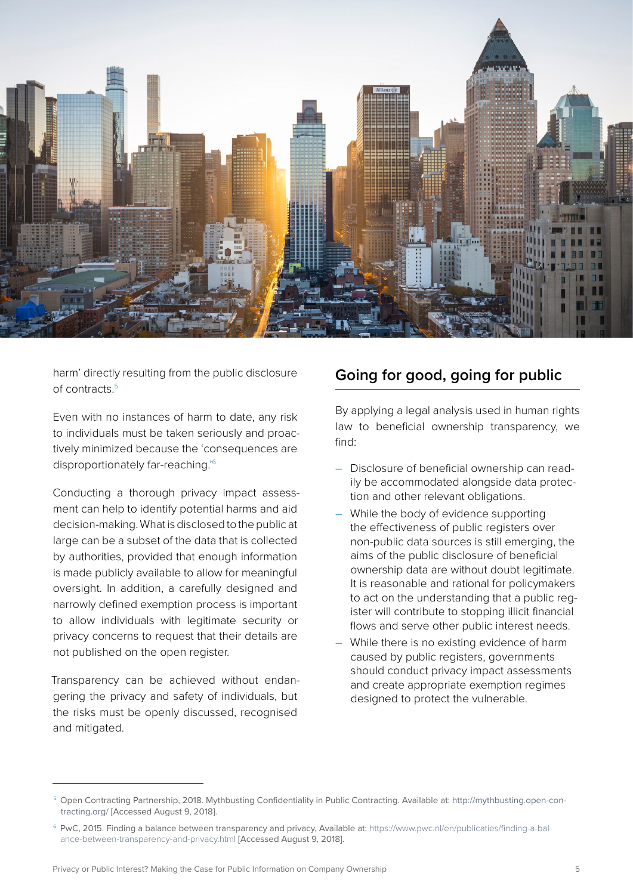

harm' directly resulting from the public disclosure of contracts.5

Even with no instances of harm to date, any risk to individuals must be taken seriously and proactively minimized because the 'consequences are disproportionately far-reaching.'6

Conducting a thorough privacy impact assessment can help to identify potential harms and aid decision-making. What is disclosed to the public at large can be a subset of the data that is collected by authorities, provided that enough information is made publicly available to allow for meaningful oversight. In addition, a carefully designed and narrowly defined exemption process is important to allow individuals with legitimate security or privacy concerns to request that their details are not published on the open register.

Transparency can be achieved without endangering the privacy and safety of individuals, but the risks must be openly discussed, recognised and mitigated.

## **Going for good, going for public**

By applying a legal analysis used in human rights law to beneficial ownership transparency, we find:

- Disclosure of beneficial ownership can readily be accommodated alongside data protection and other relevant obligations.
- While the body of evidence supporting the effectiveness of public registers over non-public data sources is still emerging, the aims of the public disclosure of beneficial ownership data are without doubt legitimate. It is reasonable and rational for policymakers to act on the understanding that a public register will contribute to stopping illicit financial flows and serve other public interest needs.
- While there is no existing evidence of harm caused by public registers, governments should conduct privacy impact assessments and create appropriate exemption regimes designed to protect the vulnerable.

<sup>5</sup> Open Contracting Partnership, 2018. Mythbusting Confidentiality in Public Contracting. Available at: [http://mythbusting.open-con](http://mythbusting.open-contracting.org/)[tracting.org/](http://mythbusting.open-contracting.org/) [Accessed August 9, 2018].

<sup>6</sup> PwC, 2015. Finding a balance between transparency and privacy, Available at: [https://www.pwc.nl/en/publicaties/finding-a-bal](https://www.pwc.nl/en/publicaties/finding-a-balance-between-transparency-and-privacy.html)[ance-between-transparency-and-privacy.html](https://www.pwc.nl/en/publicaties/finding-a-balance-between-transparency-and-privacy.html) [Accessed August 9, 2018].